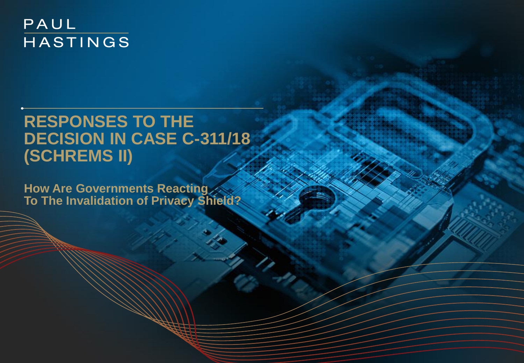## PAUL HASTINGS

# **RESPONSES TO THE DECISION IN CASE C-311/18 (SCHREMS II)**

**How Are Governments Reacting To The Invalidation of Privacy Shield?**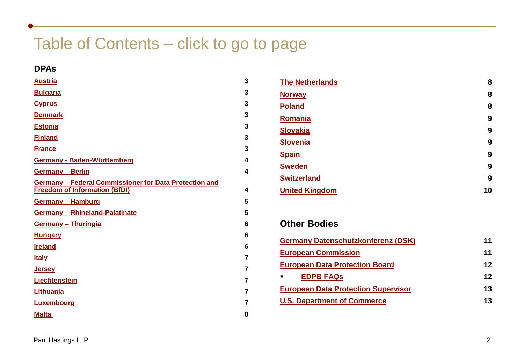# Table of Contents – click to go to page

### **DPAs**

| <b>Austria</b>                                                                                 | 3 |
|------------------------------------------------------------------------------------------------|---|
| <b>Bulgaria</b>                                                                                | 3 |
| <b>Cyprus</b>                                                                                  | 3 |
| <b>Denmark</b>                                                                                 | 3 |
| <b>Estonia</b>                                                                                 | 3 |
| <b>Finland</b>                                                                                 | 3 |
| <b>France</b>                                                                                  | 3 |
| <b>Germany - Baden-Württemberg</b>                                                             | 4 |
| <b>Germany - Berlin</b>                                                                        | 4 |
| Germany - Federal Commissioner for Data Protection and<br><b>Freedom of Information (BfDI)</b> | 4 |
| <b>Germany - Hamburg</b>                                                                       | 5 |
| <b>Germany - Rhineland-Palatinate</b>                                                          | 5 |
| <b>Germany - Thuringia</b>                                                                     | 6 |
| <b>Hungary</b>                                                                                 | 6 |
| <b>Ireland</b>                                                                                 | 6 |
| <b>Italy</b>                                                                                   | 7 |
| <b>Jersey</b>                                                                                  | 7 |
| Liechtenstein                                                                                  | 7 |
| Lithuania                                                                                      | 7 |
| Luxembourg                                                                                     | 7 |
| <u>Malta</u>                                                                                   | 8 |

| <b>The Netherlands</b> | 8  |
|------------------------|----|
| <b>Norway</b>          | 8  |
| <b>Poland</b>          | 8  |
| Romania                | 9  |
| <b>Slovakia</b>        | 9  |
| <b>Slovenia</b>        | 9  |
| <b>Spain</b>           | 9  |
| <b>Sweden</b>          | 9  |
| <b>Switzerland</b>     | 9  |
| <b>United Kingdom</b>  | 10 |

## **Other Bodies**

| <b>Germany Datenschutzkonferenz (DSK)</b>  |    |
|--------------------------------------------|----|
| <b>European Commission</b>                 | 11 |
| <b>European Data Protection Board</b>      | 12 |
| <b>EDPB FAQS</b><br>٠                      | 12 |
| <b>European Data Protection Supervisor</b> | 13 |
| <b>U.S. Department of Commerce</b>         | 13 |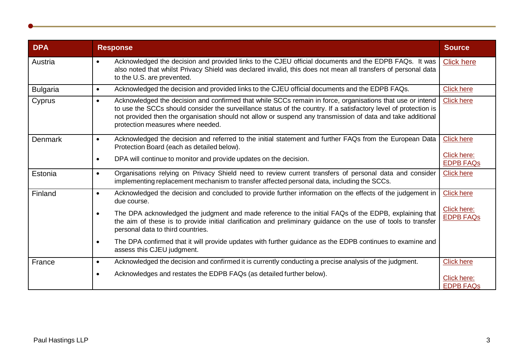<span id="page-2-0"></span>

| <b>DPA</b>      | <b>Response</b>                                                                                                                                                                                                                                                                                                                                                                                | <b>Source</b>                   |
|-----------------|------------------------------------------------------------------------------------------------------------------------------------------------------------------------------------------------------------------------------------------------------------------------------------------------------------------------------------------------------------------------------------------------|---------------------------------|
| Austria         | Acknowledged the decision and provided links to the CJEU official documents and the EDPB FAQs. It was<br>$\bullet$<br>also noted that whilst Privacy Shield was declared invalid, this does not mean all transfers of personal data<br>to the U.S. are prevented.                                                                                                                              | <b>Click here</b>               |
| <b>Bulgaria</b> | Acknowledged the decision and provided links to the CJEU official documents and the EDPB FAQs.<br>$\bullet$                                                                                                                                                                                                                                                                                    | <b>Click here</b>               |
| Cyprus          | Acknowledged the decision and confirmed that while SCCs remain in force, organisations that use or intend<br>$\bullet$<br>to use the SCCs should consider the surveillance status of the country. If a satisfactory level of protection is<br>not provided then the organisation should not allow or suspend any transmission of data and take additional<br>protection measures where needed. | <b>Click here</b>               |
| Denmark         | Acknowledged the decision and referred to the initial statement and further FAQs from the European Data<br>$\bullet$<br>Protection Board (each as detailed below).                                                                                                                                                                                                                             | <b>Click here</b>               |
|                 | DPA will continue to monitor and provide updates on the decision.<br>$\bullet$                                                                                                                                                                                                                                                                                                                 | Click here:<br><b>EDPB FAQS</b> |
| Estonia         | Organisations relying on Privacy Shield need to review current transfers of personal data and consider<br>$\bullet$<br>implementing replacement mechanism to transfer affected personal data, including the SCCs.                                                                                                                                                                              | <b>Click here</b>               |
| Finland         | Acknowledged the decision and concluded to provide further information on the effects of the judgement in<br>$\bullet$<br>due course.                                                                                                                                                                                                                                                          | <b>Click here</b>               |
|                 | The DPA acknowledged the judgment and made reference to the initial FAQs of the EDPB, explaining that<br>$\bullet$<br>the aim of these is to provide initial clarification and preliminary guidance on the use of tools to transfer<br>personal data to third countries.                                                                                                                       | Click here:<br><b>EDPB FAQs</b> |
|                 | The DPA confirmed that it will provide updates with further guidance as the EDPB continues to examine and<br>$\bullet$<br>assess this CJEU judgment.                                                                                                                                                                                                                                           |                                 |
| France          | Acknowledged the decision and confirmed it is currently conducting a precise analysis of the judgment.<br>$\bullet$                                                                                                                                                                                                                                                                            | <b>Click here</b>               |
|                 | Acknowledges and restates the EDPB FAQs (as detailed further below).<br>$\bullet$                                                                                                                                                                                                                                                                                                              | Click here:<br><b>EDPB FAQS</b> |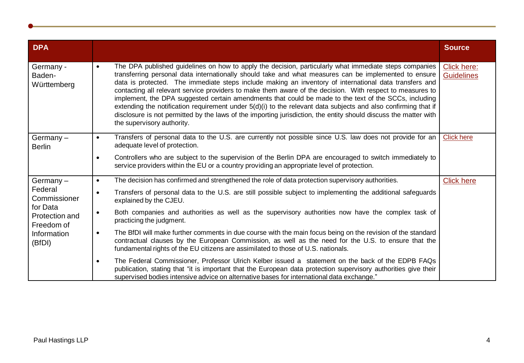<span id="page-3-0"></span>

| <b>DPA</b>                                                                                   |                                                                                                                                                                                                                                                                                                                                                                                                                                                                                                                                                                                                                                                                                                                                                                                                                                    | <b>Source</b>                    |
|----------------------------------------------------------------------------------------------|------------------------------------------------------------------------------------------------------------------------------------------------------------------------------------------------------------------------------------------------------------------------------------------------------------------------------------------------------------------------------------------------------------------------------------------------------------------------------------------------------------------------------------------------------------------------------------------------------------------------------------------------------------------------------------------------------------------------------------------------------------------------------------------------------------------------------------|----------------------------------|
| Germany -<br>Baden-<br>Württemberg                                                           | The DPA published guidelines on how to apply the decision, particularly what immediate steps companies<br>$\bullet$<br>transferring personal data internationally should take and what measures can be implemented to ensure<br>data is protected. The immediate steps include making an inventory of international data transfers and<br>contacting all relevant service providers to make them aware of the decision. With respect to measures to<br>implement, the DPA suggested certain amendments that could be made to the text of the SCCs, including<br>extending the notification requirement under $5(d)(i)$ to the relevant data subjects and also confirming that if<br>disclosure is not permitted by the laws of the importing jurisdiction, the entity should discuss the matter with<br>the supervisory authority. | Click here:<br><b>Guidelines</b> |
| Germany $-$<br><b>Berlin</b>                                                                 | Transfers of personal data to the U.S. are currently not possible since U.S. law does not provide for an<br>$\bullet$<br>adequate level of protection.                                                                                                                                                                                                                                                                                                                                                                                                                                                                                                                                                                                                                                                                             | <b>Click here</b>                |
|                                                                                              | Controllers who are subject to the supervision of the Berlin DPA are encouraged to switch immediately to<br>$\bullet$<br>service providers within the EU or a country providing an appropriate level of protection.                                                                                                                                                                                                                                                                                                                                                                                                                                                                                                                                                                                                                |                                  |
| Germany $-$                                                                                  | The decision has confirmed and strengthened the role of data protection supervisory authorities.<br>$\bullet$                                                                                                                                                                                                                                                                                                                                                                                                                                                                                                                                                                                                                                                                                                                      | <b>Click here</b>                |
| Federal<br>Commissioner<br>for Data<br>Protection and<br>Freedom of<br>Information<br>(BfDI) | Transfers of personal data to the U.S. are still possible subject to implementing the additional safeguards<br>$\bullet$<br>explained by the CJEU.                                                                                                                                                                                                                                                                                                                                                                                                                                                                                                                                                                                                                                                                                 |                                  |
|                                                                                              | Both companies and authorities as well as the supervisory authorities now have the complex task of<br>$\bullet$<br>practicing the judgment.                                                                                                                                                                                                                                                                                                                                                                                                                                                                                                                                                                                                                                                                                        |                                  |
|                                                                                              | The BfDI will make further comments in due course with the main focus being on the revision of the standard<br>$\bullet$<br>contractual clauses by the European Commission, as well as the need for the U.S. to ensure that the<br>fundamental rights of the EU citizens are assimilated to those of U.S. nationals.                                                                                                                                                                                                                                                                                                                                                                                                                                                                                                               |                                  |
|                                                                                              | The Federal Commissioner, Professor Ulrich Kelber issued a statement on the back of the EDPB FAQs<br>$\bullet$<br>publication, stating that "it is important that the European data protection supervisory authorities give their<br>supervised bodies intensive advice on alternative bases for international data exchange."                                                                                                                                                                                                                                                                                                                                                                                                                                                                                                     |                                  |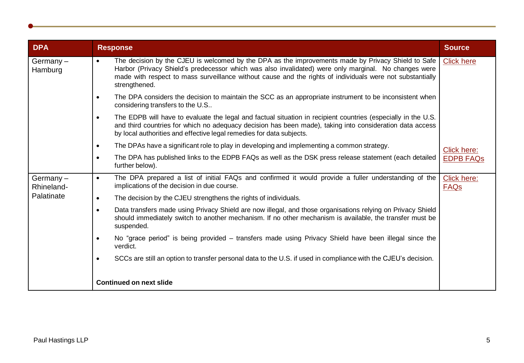<span id="page-4-0"></span>

| <b>DPA</b>             | <b>Response</b>                                                                                                                                                                                                                                                                                                                          | <b>Source</b>              |
|------------------------|------------------------------------------------------------------------------------------------------------------------------------------------------------------------------------------------------------------------------------------------------------------------------------------------------------------------------------------|----------------------------|
| Germany $-$<br>Hamburg | The decision by the CJEU is welcomed by the DPA as the improvements made by Privacy Shield to Safe<br>Harbor (Privacy Shield's predecessor which was also invalidated) were only marginal. No changes were<br>made with respect to mass surveillance without cause and the rights of individuals were not substantially<br>strengthened. | <b>Click here</b>          |
|                        | The DPA considers the decision to maintain the SCC as an appropriate instrument to be inconsistent when<br>$\bullet$<br>considering transfers to the U.S                                                                                                                                                                                 |                            |
|                        | The EDPB will have to evaluate the legal and factual situation in recipient countries (especially in the U.S.<br>$\bullet$<br>and third countries for which no adequacy decision has been made), taking into consideration data access<br>by local authorities and effective legal remedies for data subjects.                           |                            |
|                        | The DPAs have a significant role to play in developing and implementing a common strategy.<br>$\bullet$                                                                                                                                                                                                                                  | Click here:                |
|                        | The DPA has published links to the EDPB FAQs as well as the DSK press release statement (each detailed<br>$\bullet$<br>further below).                                                                                                                                                                                                   | <b>EDPB FAQS</b>           |
| Germany-<br>Rhineland- | The DPA prepared a list of initial FAQs and confirmed it would provide a fuller understanding of the<br>$\bullet$<br>implications of the decision in due course.                                                                                                                                                                         | Click here:<br><b>FAQs</b> |
| Palatinate             | The decision by the CJEU strengthens the rights of individuals.<br>$\bullet$                                                                                                                                                                                                                                                             |                            |
|                        | Data transfers made using Privacy Shield are now illegal, and those organisations relying on Privacy Shield<br>$\bullet$<br>should immediately switch to another mechanism. If no other mechanism is available, the transfer must be<br>suspended.                                                                                       |                            |
|                        | No "grace period" is being provided – transfers made using Privacy Shield have been illegal since the<br>$\bullet$<br>verdict.                                                                                                                                                                                                           |                            |
|                        | SCCs are still an option to transfer personal data to the U.S. if used in compliance with the CJEU's decision.                                                                                                                                                                                                                           |                            |
|                        | <b>Continued on next slide</b>                                                                                                                                                                                                                                                                                                           |                            |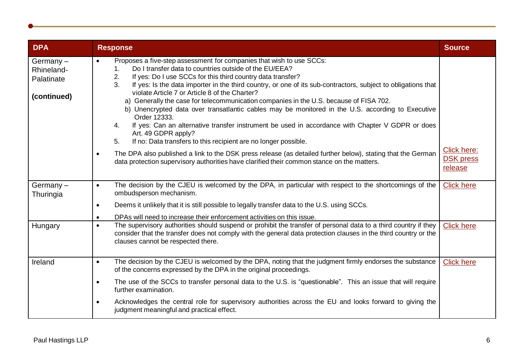<span id="page-5-0"></span>

| <b>DPA</b>                                          | <b>Response</b>                                                                                                                                                                                                                                                                                                                                                                                                                                                                                                                                                                                                                                                                                                                                                                                                          | <b>Source</b>               |
|-----------------------------------------------------|--------------------------------------------------------------------------------------------------------------------------------------------------------------------------------------------------------------------------------------------------------------------------------------------------------------------------------------------------------------------------------------------------------------------------------------------------------------------------------------------------------------------------------------------------------------------------------------------------------------------------------------------------------------------------------------------------------------------------------------------------------------------------------------------------------------------------|-----------------------------|
| Germany-<br>Rhineland-<br>Palatinate<br>(continued) | Proposes a five-step assessment for companies that wish to use SCCs:<br>$\bullet$<br>Do I transfer data to countries outside of the EU/EEA?<br>1.<br>2.<br>If yes: Do I use SCCs for this third country data transfer?<br>3.<br>If yes: Is the data importer in the third country, or one of its sub-contractors, subject to obligations that<br>violate Article 7 or Article 8 of the Charter?<br>a) Generally the case for telecommunication companies in the U.S. because of FISA 702.<br>b) Unencrypted data over transatlantic cables may be monitored in the U.S. according to Executive<br>Order 12333.<br>If yes: Can an alternative transfer instrument be used in accordance with Chapter V GDPR or does<br>4.<br>Art. 49 GDPR apply?<br>If no: Data transfers to this recipient are no longer possible.<br>5. | Click here:                 |
|                                                     | The DPA also published a link to the DSK press release (as detailed further below), stating that the German<br>$\bullet$<br>data protection supervisory authorities have clarified their common stance on the matters.                                                                                                                                                                                                                                                                                                                                                                                                                                                                                                                                                                                                   | <b>DSK press</b><br>release |
| Germany $-$<br>Thuringia                            | The decision by the CJEU is welcomed by the DPA, in particular with respect to the shortcomings of the<br>$\bullet$<br>ombudsperson mechanism.                                                                                                                                                                                                                                                                                                                                                                                                                                                                                                                                                                                                                                                                           | <b>Click here</b>           |
|                                                     | Deems it unlikely that it is still possible to legally transfer data to the U.S. using SCCs.<br>$\bullet$                                                                                                                                                                                                                                                                                                                                                                                                                                                                                                                                                                                                                                                                                                                |                             |
|                                                     | DPAs will need to increase their enforcement activities on this issue.<br>$\bullet$                                                                                                                                                                                                                                                                                                                                                                                                                                                                                                                                                                                                                                                                                                                                      |                             |
| Hungary                                             | The supervisory authorities should suspend or prohibit the transfer of personal data to a third country if they<br>$\bullet$<br>consider that the transfer does not comply with the general data protection clauses in the third country or the<br>clauses cannot be respected there.                                                                                                                                                                                                                                                                                                                                                                                                                                                                                                                                    | <b>Click here</b>           |
| Ireland                                             | The decision by the CJEU is welcomed by the DPA, noting that the judgment firmly endorses the substance<br>$\bullet$<br>of the concerns expressed by the DPA in the original proceedings.                                                                                                                                                                                                                                                                                                                                                                                                                                                                                                                                                                                                                                | <b>Click here</b>           |
|                                                     | The use of the SCCs to transfer personal data to the U.S. is "questionable". This an issue that will require<br>$\bullet$<br>further examination.                                                                                                                                                                                                                                                                                                                                                                                                                                                                                                                                                                                                                                                                        |                             |
|                                                     | Acknowledges the central role for supervisory authorities across the EU and looks forward to giving the<br>$\bullet$<br>judgment meaningful and practical effect.                                                                                                                                                                                                                                                                                                                                                                                                                                                                                                                                                                                                                                                        |                             |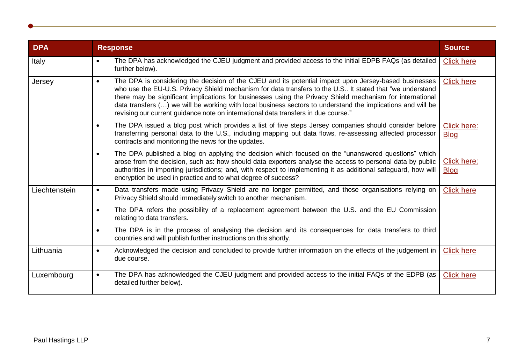<span id="page-6-0"></span>

| <b>DPA</b>    | <b>Response</b>                                                                                                                                                                                                                                                                                                                                                                                                                                                                                                                                  | <b>Source</b>              |
|---------------|--------------------------------------------------------------------------------------------------------------------------------------------------------------------------------------------------------------------------------------------------------------------------------------------------------------------------------------------------------------------------------------------------------------------------------------------------------------------------------------------------------------------------------------------------|----------------------------|
| Italy         | The DPA has acknowledged the CJEU judgment and provided access to the initial EDPB FAQs (as detailed<br>$\bullet$<br>further below).                                                                                                                                                                                                                                                                                                                                                                                                             | <b>Click here</b>          |
| Jersey        | The DPA is considering the decision of the CJEU and its potential impact upon Jersey-based businesses<br>$\bullet$<br>who use the EU-U.S. Privacy Shield mechanism for data transfers to the U.S It stated that "we understand<br>there may be significant implications for businesses using the Privacy Shield mechanism for international<br>data transfers () we will be working with local business sectors to understand the implications and will be<br>revising our current guidance note on international data transfers in due course." | <b>Click here</b>          |
|               | The DPA issued a blog post which provides a list of five steps Jersey companies should consider before<br>$\bullet$<br>transferring personal data to the U.S., including mapping out data flows, re-assessing affected processor<br>contracts and monitoring the news for the updates.                                                                                                                                                                                                                                                           | Click here:<br><b>Blog</b> |
|               | The DPA published a blog on applying the decision which focused on the "unanswered questions" which<br>$\bullet$<br>arose from the decision, such as: how should data exporters analyse the access to personal data by public<br>authorities in importing jurisdictions; and, with respect to implementing it as additional safeguard, how will<br>encryption be used in practice and to what degree of success?                                                                                                                                 | Click here:<br><b>Blog</b> |
| Liechtenstein | Data transfers made using Privacy Shield are no longer permitted, and those organisations relying on<br>$\bullet$<br>Privacy Shield should immediately switch to another mechanism.                                                                                                                                                                                                                                                                                                                                                              | <b>Click here</b>          |
|               | The DPA refers the possibility of a replacement agreement between the U.S. and the EU Commission<br>$\bullet$<br>relating to data transfers.                                                                                                                                                                                                                                                                                                                                                                                                     |                            |
|               | The DPA is in the process of analysing the decision and its consequences for data transfers to third<br>$\bullet$<br>countries and will publish further instructions on this shortly.                                                                                                                                                                                                                                                                                                                                                            |                            |
| Lithuania     | Acknowledged the decision and concluded to provide further information on the effects of the judgement in<br>$\bullet$<br>due course.                                                                                                                                                                                                                                                                                                                                                                                                            | <b>Click here</b>          |
| Luxembourg    | The DPA has acknowledged the CJEU judgment and provided access to the initial FAQs of the EDPB (as<br>$\bullet$<br>detailed further below).                                                                                                                                                                                                                                                                                                                                                                                                      | <b>Click here</b>          |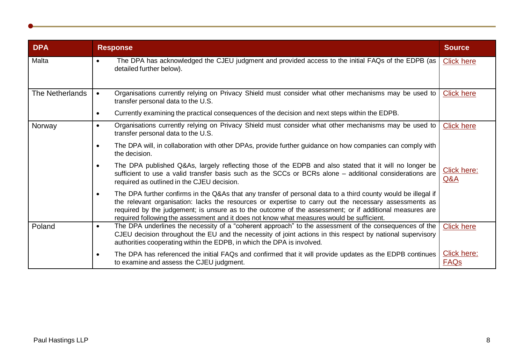<span id="page-7-0"></span>

| <b>DPA</b>      | <b>Response</b>                                                                                                                                                                                                                                                                                                                                                                                                                             | <b>Source</b>              |
|-----------------|---------------------------------------------------------------------------------------------------------------------------------------------------------------------------------------------------------------------------------------------------------------------------------------------------------------------------------------------------------------------------------------------------------------------------------------------|----------------------------|
| Malta           | The DPA has acknowledged the CJEU judgment and provided access to the initial FAQs of the EDPB (as<br>$\bullet$<br>detailed further below).                                                                                                                                                                                                                                                                                                 | <b>Click here</b>          |
| The Netherlands | Organisations currently relying on Privacy Shield must consider what other mechanisms may be used to<br>$\bullet$<br>transfer personal data to the U.S.                                                                                                                                                                                                                                                                                     | <b>Click here</b>          |
|                 | Currently examining the practical consequences of the decision and next steps within the EDPB.<br>$\bullet$                                                                                                                                                                                                                                                                                                                                 |                            |
| Norway          | Organisations currently relying on Privacy Shield must consider what other mechanisms may be used to<br>$\bullet$<br>transfer personal data to the U.S.                                                                                                                                                                                                                                                                                     | <b>Click here</b>          |
|                 | The DPA will, in collaboration with other DPAs, provide further guidance on how companies can comply with<br>$\bullet$<br>the decision.                                                                                                                                                                                                                                                                                                     |                            |
|                 | The DPA published Q&As, largely reflecting those of the EDPB and also stated that it will no longer be<br>$\bullet$<br>sufficient to use a valid transfer basis such as the SCCs or BCRs alone – additional considerations are<br>required as outlined in the CJEU decision.                                                                                                                                                                | Click here:<br>Q&A         |
|                 | The DPA further confirms in the Q&As that any transfer of personal data to a third county would be illegal if<br>$\bullet$<br>the relevant organisation: lacks the resources or expertise to carry out the necessary assessments as<br>required by the judgement; is unsure as to the outcome of the assessment; or if additional measures are<br>required following the assessment and it does not know what measures would be sufficient. |                            |
| Poland          | The DPA underlines the necessity of a "coherent approach" to the assessment of the consequences of the<br>$\bullet$<br>CJEU decision throughout the EU and the necessity of joint actions in this respect by national supervisory<br>authorities cooperating within the EDPB, in which the DPA is involved.                                                                                                                                 | <b>Click here</b>          |
|                 | The DPA has referenced the initial FAQs and confirmed that it will provide updates as the EDPB continues<br>$\bullet$<br>to examine and assess the CJEU judgment.                                                                                                                                                                                                                                                                           | Click here:<br><b>FAQs</b> |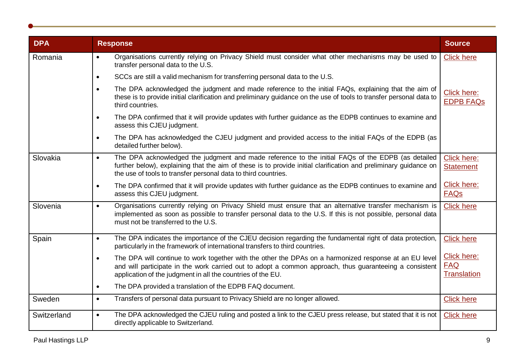<span id="page-8-0"></span>

| <b>DPA</b>  | <b>Response</b>                                                                                                                                                                                                                                                                                      | <b>Source</b>                                   |
|-------------|------------------------------------------------------------------------------------------------------------------------------------------------------------------------------------------------------------------------------------------------------------------------------------------------------|-------------------------------------------------|
| Romania     | Organisations currently relying on Privacy Shield must consider what other mechanisms may be used to<br>$\bullet$<br>transfer personal data to the U.S.                                                                                                                                              | <b>Click here</b>                               |
|             | SCCs are still a valid mechanism for transferring personal data to the U.S.<br>$\bullet$                                                                                                                                                                                                             |                                                 |
|             | The DPA acknowledged the judgment and made reference to the initial FAQs, explaining that the aim of<br>$\bullet$<br>these is to provide initial clarification and preliminary guidance on the use of tools to transfer personal data to<br>third countries.                                         | Click here:<br><b>EDPB FAQs</b>                 |
|             | The DPA confirmed that it will provide updates with further guidance as the EDPB continues to examine and<br>$\bullet$<br>assess this CJEU judgment.                                                                                                                                                 |                                                 |
|             | The DPA has acknowledged the CJEU judgment and provided access to the initial FAQs of the EDPB (as<br>$\bullet$<br>detailed further below).                                                                                                                                                          |                                                 |
| Slovakia    | The DPA acknowledged the judgment and made reference to the initial FAQs of the EDPB (as detailed<br>$\bullet$<br>further below), explaining that the aim of these is to provide initial clarification and preliminary guidance on<br>the use of tools to transfer personal data to third countries. | Click here:<br><b>Statement</b>                 |
|             | The DPA confirmed that it will provide updates with further guidance as the EDPB continues to examine and<br>$\bullet$<br>assess this CJEU judgment.                                                                                                                                                 | Click here:<br><b>FAQs</b>                      |
| Slovenia    | Organisations currently relying on Privacy Shield must ensure that an alternative transfer mechanism is<br>$\bullet$<br>implemented as soon as possible to transfer personal data to the U.S. If this is not possible, personal data<br>must not be transferred to the U.S.                          | <b>Click here</b>                               |
| Spain       | The DPA indicates the importance of the CJEU decision regarding the fundamental right of data protection,<br>$\bullet$<br>particularly in the framework of international transfers to third countries.                                                                                               | <b>Click here</b>                               |
|             | The DPA will continue to work together with the other the DPAs on a harmonized response at an EU level<br>$\bullet$<br>and will participate in the work carried out to adopt a common approach, thus guaranteeing a consistent<br>application of the judgment in all the countries of the EU.        | Click here:<br><b>FAQ</b><br><b>Translation</b> |
|             | The DPA provided a translation of the EDPB FAQ document.<br>$\bullet$                                                                                                                                                                                                                                |                                                 |
| Sweden      | Transfers of personal data pursuant to Privacy Shield are no longer allowed.<br>$\bullet$                                                                                                                                                                                                            | <b>Click here</b>                               |
| Switzerland | The DPA acknowledged the CJEU ruling and posted a link to the CJEU press release, but stated that it is not<br>$\bullet$<br>directly applicable to Switzerland.                                                                                                                                      | <b>Click here</b>                               |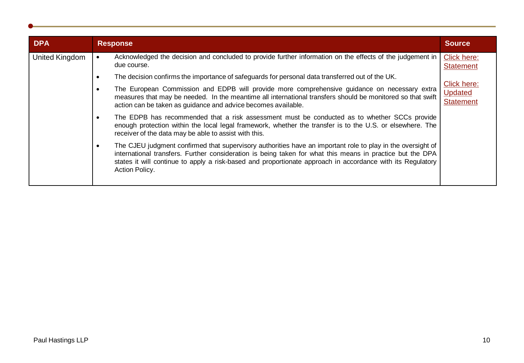<span id="page-9-0"></span>

| <b>DPA</b>     | <b>Response</b>                                                                                                                                                                                                                                                                                                                                                       | <b>Source</b>                                     |
|----------------|-----------------------------------------------------------------------------------------------------------------------------------------------------------------------------------------------------------------------------------------------------------------------------------------------------------------------------------------------------------------------|---------------------------------------------------|
| United Kingdom | Acknowledged the decision and concluded to provide further information on the effects of the judgement in<br>due course.                                                                                                                                                                                                                                              | Click here:<br><b>Statement</b>                   |
|                | The decision confirms the importance of safeguards for personal data transferred out of the UK.                                                                                                                                                                                                                                                                       |                                                   |
|                | The European Commission and EDPB will provide more comprehensive guidance on necessary extra<br>measures that may be needed. In the meantime all international transfers should be monitored so that swift<br>action can be taken as guidance and advice becomes available.                                                                                           | Click here:<br><b>Updated</b><br><b>Statement</b> |
|                | The EDPB has recommended that a risk assessment must be conducted as to whether SCCs provide<br>$\bullet$<br>enough protection within the local legal framework, whether the transfer is to the U.S. or elsewhere. The<br>receiver of the data may be able to assist with this.                                                                                       |                                                   |
|                | The CJEU judgment confirmed that supervisory authorities have an important role to play in the oversight of<br>$\bullet$<br>international transfers. Further consideration is being taken for what this means in practice but the DPA<br>states it will continue to apply a risk-based and proportionate approach in accordance with its Regulatory<br>Action Policy. |                                                   |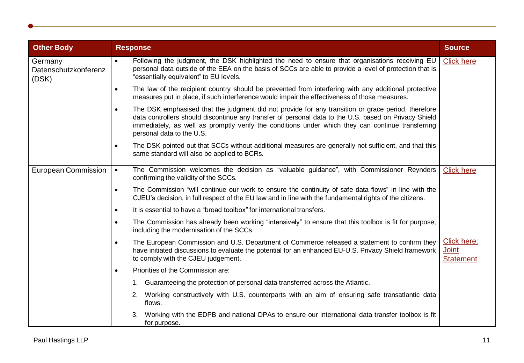<span id="page-10-0"></span>

| <b>Other Body</b>                        | <b>Response</b>                                                                                                                                                                                                                                                                                                                                            | <b>Source</b>                                          |
|------------------------------------------|------------------------------------------------------------------------------------------------------------------------------------------------------------------------------------------------------------------------------------------------------------------------------------------------------------------------------------------------------------|--------------------------------------------------------|
| Germany<br>Datenschutzkonferenz<br>(DSK) | Following the judgment, the DSK highlighted the need to ensure that organisations receiving EU<br>$\bullet$<br>personal data outside of the EEA on the basis of SCCs are able to provide a level of protection that is<br>"essentially equivalent" to EU levels.                                                                                           | <b>Click here</b>                                      |
|                                          | The law of the recipient country should be prevented from interfering with any additional protective<br>$\bullet$<br>measures put in place, if such interference would impair the effectiveness of those measures.                                                                                                                                         |                                                        |
|                                          | The DSK emphasised that the judgment did not provide for any transition or grace period, therefore<br>$\bullet$<br>data controllers should discontinue any transfer of personal data to the U.S. based on Privacy Shield<br>immediately, as well as promptly verify the conditions under which they can continue transferring<br>personal data to the U.S. |                                                        |
|                                          | The DSK pointed out that SCCs without additional measures are generally not sufficient, and that this<br>$\bullet$<br>same standard will also be applied to BCRs.                                                                                                                                                                                          |                                                        |
| <b>European Commission</b>               | The Commission welcomes the decision as "valuable guidance", with Commissioner Reynders<br>$\bullet$<br>confirming the validity of the SCCs.                                                                                                                                                                                                               | <b>Click here</b>                                      |
|                                          | The Commission "will continue our work to ensure the continuity of safe data flows" in line with the<br>$\bullet$<br>CJEU's decision, in full respect of the EU law and in line with the fundamental rights of the citizens.                                                                                                                               |                                                        |
|                                          | It is essential to have a "broad toolbox" for international transfers.<br>$\bullet$                                                                                                                                                                                                                                                                        |                                                        |
|                                          | The Commission has already been working "intensively" to ensure that this toolbox is fit for purpose,<br>$\bullet$<br>including the modernisation of the SCCs.                                                                                                                                                                                             |                                                        |
|                                          | The European Commission and U.S. Department of Commerce released a statement to confirm they<br>$\bullet$<br>have initiated discussions to evaluate the potential for an enhanced EU-U.S. Privacy Shield framework<br>to comply with the CJEU judgement.                                                                                                   | <b>Click here:</b><br><b>Joint</b><br><b>Statement</b> |
|                                          | Priorities of the Commission are:<br>$\bullet$                                                                                                                                                                                                                                                                                                             |                                                        |
|                                          | 1. Guaranteeing the protection of personal data transferred across the Atlantic.                                                                                                                                                                                                                                                                           |                                                        |
|                                          | 2. Working constructively with U.S. counterparts with an aim of ensuring safe transatlantic data<br>flows.                                                                                                                                                                                                                                                 |                                                        |
|                                          | Working with the EDPB and national DPAs to ensure our international data transfer toolbox is fit<br>for purpose.                                                                                                                                                                                                                                           |                                                        |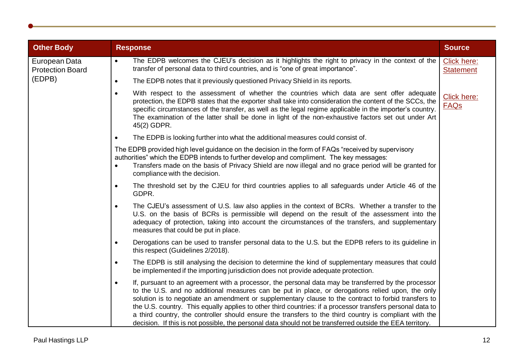<span id="page-11-0"></span>

| <b>Other Body</b>                                  | <b>Response</b>                                                                                                                                                                                                                                                                                                                                                                                                                                                                                                                                                                                                                                                    | <b>Source</b>                   |
|----------------------------------------------------|--------------------------------------------------------------------------------------------------------------------------------------------------------------------------------------------------------------------------------------------------------------------------------------------------------------------------------------------------------------------------------------------------------------------------------------------------------------------------------------------------------------------------------------------------------------------------------------------------------------------------------------------------------------------|---------------------------------|
| European Data<br><b>Protection Board</b><br>(EDPB) | The EDPB welcomes the CJEU's decision as it highlights the right to privacy in the context of the<br>$\bullet$<br>transfer of personal data to third countries, and is "one of great importance".                                                                                                                                                                                                                                                                                                                                                                                                                                                                  | Click here:<br><b>Statement</b> |
|                                                    | The EDPB notes that it previously questioned Privacy Shield in its reports.<br>$\bullet$                                                                                                                                                                                                                                                                                                                                                                                                                                                                                                                                                                           |                                 |
|                                                    | With respect to the assessment of whether the countries which data are sent offer adequate<br>$\bullet$<br>protection, the EDPB states that the exporter shall take into consideration the content of the SCCs, the<br>specific circumstances of the transfer, as well as the legal regime applicable in the importer's country.<br>The examination of the latter shall be done in light of the non-exhaustive factors set out under Art<br>45(2) GDPR.                                                                                                                                                                                                            | Click here:<br><b>FAQs</b>      |
|                                                    | The EDPB is looking further into what the additional measures could consist of.<br>$\bullet$                                                                                                                                                                                                                                                                                                                                                                                                                                                                                                                                                                       |                                 |
|                                                    | The EDPB provided high level guidance on the decision in the form of FAQs "received by supervisory<br>authorities" which the EDPB intends to further develop and compliment. The key messages:<br>Transfers made on the basis of Privacy Shield are now illegal and no grace period will be granted for<br>compliance with the decision.                                                                                                                                                                                                                                                                                                                           |                                 |
|                                                    | The threshold set by the CJEU for third countries applies to all safeguards under Article 46 of the<br>$\bullet$<br>GDPR.                                                                                                                                                                                                                                                                                                                                                                                                                                                                                                                                          |                                 |
|                                                    | The CJEU's assessment of U.S. law also applies in the context of BCRs. Whether a transfer to the<br>$\bullet$<br>U.S. on the basis of BCRs is permissible will depend on the result of the assessment into the<br>adequacy of protection, taking into account the circumstances of the transfers, and supplementary<br>measures that could be put in place.                                                                                                                                                                                                                                                                                                        |                                 |
|                                                    | Derogations can be used to transfer personal data to the U.S. but the EDPB refers to its guideline in<br>$\bullet$<br>this respect (Guidelines 2/2018).                                                                                                                                                                                                                                                                                                                                                                                                                                                                                                            |                                 |
|                                                    | The EDPB is still analysing the decision to determine the kind of supplementary measures that could<br>$\bullet$<br>be implemented if the importing jurisdiction does not provide adequate protection.                                                                                                                                                                                                                                                                                                                                                                                                                                                             |                                 |
|                                                    | If, pursuant to an agreement with a processor, the personal data may be transferred by the processor<br>$\bullet$<br>to the U.S. and no additional measures can be put in place, or derogations relied upon, the only<br>solution is to negotiate an amendment or supplementary clause to the contract to forbid transfers to<br>the U.S. country. This equally applies to other third countries: if a processor transfers personal data to<br>a third country, the controller should ensure the transfers to the third country is compliant with the<br>decision. If this is not possible, the personal data should not be transferred outside the EEA territory. |                                 |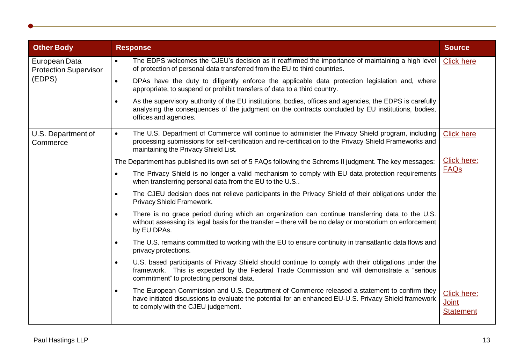<span id="page-12-0"></span>

| <b>Other Body</b>                                       | <b>Response</b>                                                                                                                                                                                                                                                   | <b>Source</b>                                   |
|---------------------------------------------------------|-------------------------------------------------------------------------------------------------------------------------------------------------------------------------------------------------------------------------------------------------------------------|-------------------------------------------------|
| European Data<br><b>Protection Supervisor</b><br>(EDPS) | The EDPS welcomes the CJEU's decision as it reaffirmed the importance of maintaining a high level<br>$\bullet$<br>of protection of personal data transferred from the EU to third countries.                                                                      | <b>Click here</b>                               |
|                                                         | DPAs have the duty to diligently enforce the applicable data protection legislation and, where<br>$\bullet$<br>appropriate, to suspend or prohibit transfers of data to a third country.                                                                          |                                                 |
|                                                         | As the supervisory authority of the EU institutions, bodies, offices and agencies, the EDPS is carefully<br>$\bullet$<br>analysing the consequences of the judgment on the contracts concluded by EU institutions, bodies,<br>offices and agencies.               |                                                 |
| U.S. Department of<br>Commerce                          | The U.S. Department of Commerce will continue to administer the Privacy Shield program, including<br>$\bullet$<br>processing submissions for self-certification and re-certification to the Privacy Shield Frameworks and<br>maintaining the Privacy Shield List. | <b>Click here</b>                               |
|                                                         | The Department has published its own set of 5 FAQs following the Schrems II judgment. The key messages:                                                                                                                                                           | Click here:                                     |
|                                                         | The Privacy Shield is no longer a valid mechanism to comply with EU data protection requirements<br>$\bullet$<br>when transferring personal data from the EU to the U.S                                                                                           | <b>FAQs</b>                                     |
|                                                         | The CJEU decision does not relieve participants in the Privacy Shield of their obligations under the<br>Privacy Shield Framework.                                                                                                                                 |                                                 |
|                                                         | There is no grace period during which an organization can continue transferring data to the U.S.<br>$\bullet$<br>without assessing its legal basis for the transfer - there will be no delay or moratorium on enforcement<br>by EU DPAs.                          |                                                 |
|                                                         | The U.S. remains committed to working with the EU to ensure continuity in transatlantic data flows and<br>$\bullet$<br>privacy protections.                                                                                                                       |                                                 |
|                                                         | U.S. based participants of Privacy Shield should continue to comply with their obligations under the<br>framework. This is expected by the Federal Trade Commission and will demonstrate a "serious<br>commitment" to protecting personal data.                   |                                                 |
|                                                         | The European Commission and U.S. Department of Commerce released a statement to confirm they<br>have initiated discussions to evaluate the potential for an enhanced EU-U.S. Privacy Shield framework<br>to comply with the CJEU judgement.                       | Click here:<br><b>Joint</b><br><b>Statement</b> |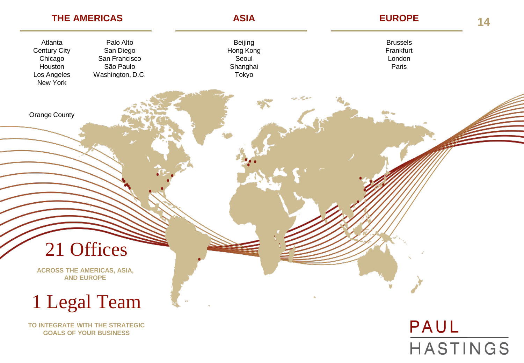

**GOALS OF YOUR BUSINESS**

# PAUL **HASTINGS**